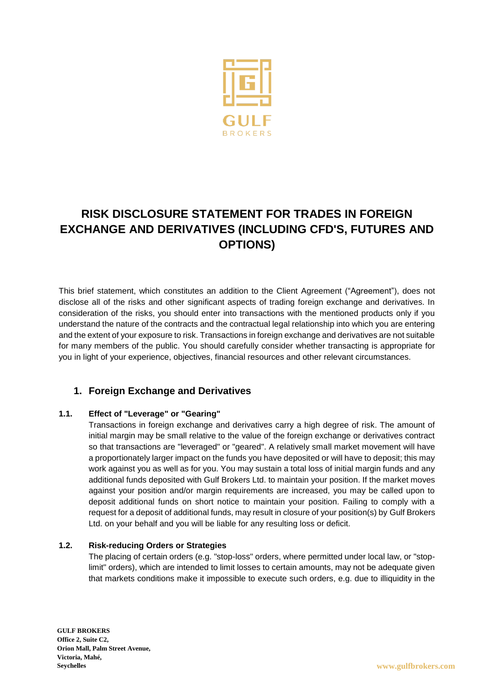

# **RISK DISCLOSURE STATEMENT FOR TRADES IN FOREIGN EXCHANGE AND DERIVATIVES (INCLUDING CFD'S, FUTURES AND OPTIONS)**

This brief statement, which constitutes an addition to the Client Agreement ("Agreement"), does not disclose all of the risks and other significant aspects of trading foreign exchange and derivatives. In consideration of the risks, you should enter into transactions with the mentioned products only if you understand the nature of the contracts and the contractual legal relationship into which you are entering and the extent of your exposure to risk. Transactions in foreign exchange and derivatives are not suitable for many members of the public. You should carefully consider whether transacting is appropriate for you in light of your experience, objectives, financial resources and other relevant circumstances.

# **1. Foreign Exchange and Derivatives**

## **1.1. Effect of "Leverage" or "Gearing"**

Transactions in foreign exchange and derivatives carry a high degree of risk. The amount of initial margin may be small relative to the value of the foreign exchange or derivatives contract so that transactions are "leveraged" or "geared". A relatively small market movement will have a proportionately larger impact on the funds you have deposited or will have to deposit; this may work against you as well as for you. You may sustain a total loss of initial margin funds and any additional funds deposited with Gulf Brokers Ltd. to maintain your position. If the market moves against your position and/or margin requirements are increased, you may be called upon to deposit additional funds on short notice to maintain your position. Failing to comply with a request for a deposit of additional funds, may result in closure of your position(s) by Gulf Brokers Ltd. on your behalf and you will be liable for any resulting loss or deficit.

## **1.2. Risk-reducing Orders or Strategies**

The placing of certain orders (e.g. "stop-loss" orders, where permitted under local law, or "stoplimit" orders), which are intended to limit losses to certain amounts, may not be adequate given that markets conditions make it impossible to execute such orders, e.g. due to illiquidity in the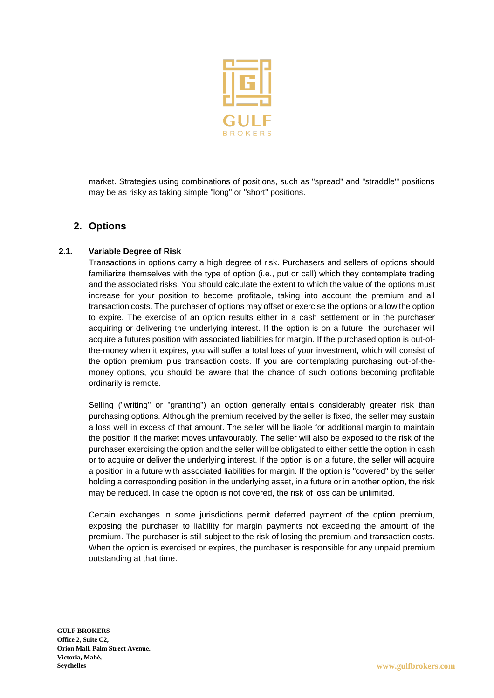

market. Strategies using combinations of positions, such as "spread" and "straddle"' positions may be as risky as taking simple "long" or "short" positions.

# **2. Options**

#### **2.1. Variable Degree of Risk**

Transactions in options carry a high degree of risk. Purchasers and sellers of options should familiarize themselves with the type of option (i.e., put or call) which they contemplate trading and the associated risks. You should calculate the extent to which the value of the options must increase for your position to become profitable, taking into account the premium and all transaction costs. The purchaser of options may offset or exercise the options or allow the option to expire. The exercise of an option results either in a cash settlement or in the purchaser acquiring or delivering the underlying interest. If the option is on a future, the purchaser will acquire a futures position with associated liabilities for margin. If the purchased option is out-ofthe-money when it expires, you will suffer a total loss of your investment, which will consist of the option premium plus transaction costs. If you are contemplating purchasing out-of-themoney options, you should be aware that the chance of such options becoming profitable ordinarily is remote.

Selling ("writing" or "granting") an option generally entails considerably greater risk than purchasing options. Although the premium received by the seller is fixed, the seller may sustain a loss well in excess of that amount. The seller will be liable for additional margin to maintain the position if the market moves unfavourably. The seller will also be exposed to the risk of the purchaser exercising the option and the seller will be obligated to either settle the option in cash or to acquire or deliver the underlying interest. If the option is on a future, the seller will acquire a position in a future with associated liabilities for margin. If the option is "covered" by the seller holding a corresponding position in the underlying asset, in a future or in another option, the risk may be reduced. In case the option is not covered, the risk of loss can be unlimited.

Certain exchanges in some jurisdictions permit deferred payment of the option premium, exposing the purchaser to liability for margin payments not exceeding the amount of the premium. The purchaser is still subject to the risk of losing the premium and transaction costs. When the option is exercised or expires, the purchaser is responsible for any unpaid premium outstanding at that time.

**GULF BROKERS Office 2, Suite C2, Orion Mall, Palm Street Avenue, Victoria, Mahé, Seychelles www.gulfbrokers.com**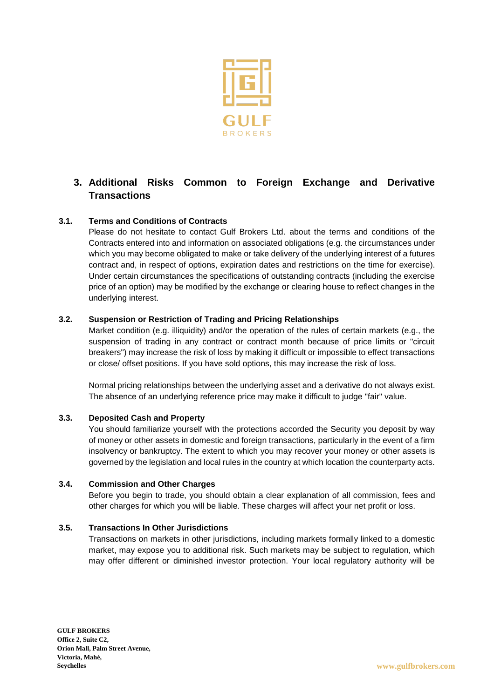

# **3. Additional Risks Common to Foreign Exchange and Derivative Transactions**

# **3.1. Terms and Conditions of Contracts**

Please do not hesitate to contact Gulf Brokers Ltd. about the terms and conditions of the Contracts entered into and information on associated obligations (e.g. the circumstances under which you may become obligated to make or take delivery of the underlying interest of a futures contract and, in respect of options, expiration dates and restrictions on the time for exercise). Under certain circumstances the specifications of outstanding contracts (including the exercise price of an option) may be modified by the exchange or clearing house to reflect changes in the underlying interest.

#### **3.2. Suspension or Restriction of Trading and Pricing Relationships**

Market condition (e.g. illiquidity) and/or the operation of the rules of certain markets (e.g., the suspension of trading in any contract or contract month because of price limits or "circuit breakers") may increase the risk of loss by making it difficult or impossible to effect transactions or close/ offset positions. If you have sold options, this may increase the risk of loss.

Normal pricing relationships between the underlying asset and a derivative do not always exist. The absence of an underlying reference price may make it difficult to judge "fair" value.

## **3.3. Deposited Cash and Property**

You should familiarize yourself with the protections accorded the Security you deposit by way of money or other assets in domestic and foreign transactions, particularly in the event of a firm insolvency or bankruptcy. The extent to which you may recover your money or other assets is governed by the legislation and local rules in the country at which location the counterparty acts.

#### **3.4. Commission and Other Charges**

Before you begin to trade, you should obtain a clear explanation of all commission, fees and other charges for which you will be liable. These charges will affect your net profit or loss.

#### **3.5. Transactions In Other Jurisdictions**

Transactions on markets in other jurisdictions, including markets formally linked to a domestic market, may expose you to additional risk. Such markets may be subject to regulation, which may offer different or diminished investor protection. Your local regulatory authority will be